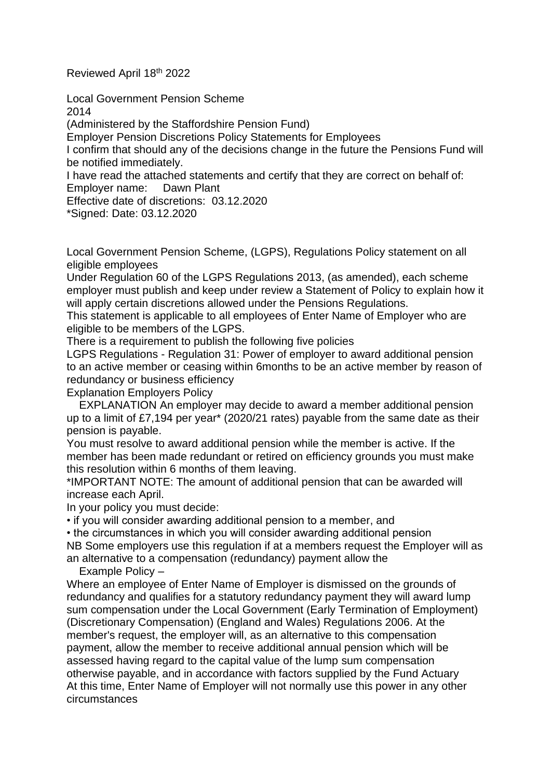Reviewed April 18th 2022

Local Government Pension Scheme 2014

(Administered by the Staffordshire Pension Fund)

Employer Pension Discretions Policy Statements for Employees

I confirm that should any of the decisions change in the future the Pensions Fund will be notified immediately.

I have read the attached statements and certify that they are correct on behalf of: Employer name: Dawn Plant

Effective date of discretions: 03.12.2020

\*Signed: Date: 03.12.2020

Local Government Pension Scheme, (LGPS), Regulations Policy statement on all eligible employees

Under Regulation 60 of the LGPS Regulations 2013, (as amended), each scheme employer must publish and keep under review a Statement of Policy to explain how it will apply certain discretions allowed under the Pensions Regulations.

This statement is applicable to all employees of Enter Name of Employer who are eligible to be members of the LGPS.

There is a requirement to publish the following five policies

LGPS Regulations - Regulation 31: Power of employer to award additional pension to an active member or ceasing within 6months to be an active member by reason of redundancy or business efficiency

Explanation Employers Policy

 EXPLANATION An employer may decide to award a member additional pension up to a limit of £7,194 per year\* (2020/21 rates) payable from the same date as their pension is payable.

You must resolve to award additional pension while the member is active. If the member has been made redundant or retired on efficiency grounds you must make this resolution within 6 months of them leaving.

\*IMPORTANT NOTE: The amount of additional pension that can be awarded will increase each April.

In your policy you must decide:

• if you will consider awarding additional pension to a member, and

• the circumstances in which you will consider awarding additional pension NB Some employers use this regulation if at a members request the Employer will as an alternative to a compensation (redundancy) payment allow the

Example Policy –

Where an employee of Enter Name of Employer is dismissed on the grounds of redundancy and qualifies for a statutory redundancy payment they will award lump sum compensation under the Local Government (Early Termination of Employment) (Discretionary Compensation) (England and Wales) Regulations 2006. At the member's request, the employer will, as an alternative to this compensation payment, allow the member to receive additional annual pension which will be assessed having regard to the capital value of the lump sum compensation otherwise payable, and in accordance with factors supplied by the Fund Actuary At this time, Enter Name of Employer will not normally use this power in any other circumstances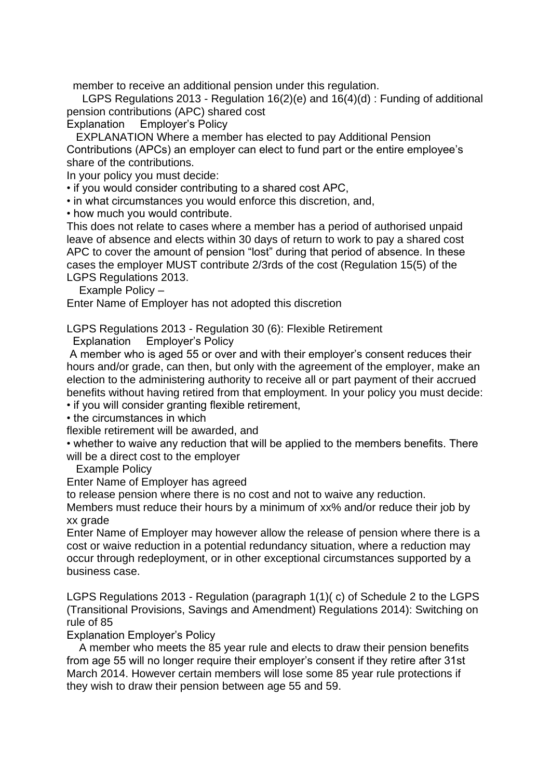member to receive an additional pension under this regulation.

 LGPS Regulations 2013 - Regulation 16(2)(e) and 16(4)(d) : Funding of additional pension contributions (APC) shared cost

Explanation Employer's Policy

 EXPLANATION Where a member has elected to pay Additional Pension Contributions (APCs) an employer can elect to fund part or the entire employee's share of the contributions.

In your policy you must decide:

• if you would consider contributing to a shared cost APC,

• in what circumstances you would enforce this discretion, and,

• how much you would contribute.

This does not relate to cases where a member has a period of authorised unpaid leave of absence and elects within 30 days of return to work to pay a shared cost APC to cover the amount of pension "lost" during that period of absence. In these cases the employer MUST contribute 2/3rds of the cost (Regulation 15(5) of the LGPS Regulations 2013.

Example Policy –

Enter Name of Employer has not adopted this discretion

LGPS Regulations 2013 - Regulation 30 (6): Flexible Retirement

Explanation Employer's Policy

A member who is aged 55 or over and with their employer's consent reduces their hours and/or grade, can then, but only with the agreement of the employer, make an election to the administering authority to receive all or part payment of their accrued benefits without having retired from that employment. In your policy you must decide:

• if you will consider granting flexible retirement,

• the circumstances in which

flexible retirement will be awarded, and

• whether to waive any reduction that will be applied to the members benefits. There will be a direct cost to the employer

Example Policy

Enter Name of Employer has agreed

to release pension where there is no cost and not to waive any reduction.

Members must reduce their hours by a minimum of xx% and/or reduce their job by xx grade

Enter Name of Employer may however allow the release of pension where there is a cost or waive reduction in a potential redundancy situation, where a reduction may occur through redeployment, or in other exceptional circumstances supported by a business case.

LGPS Regulations 2013 - Regulation (paragraph 1(1)( c) of Schedule 2 to the LGPS (Transitional Provisions, Savings and Amendment) Regulations 2014): Switching on rule of 85

Explanation Employer's Policy

 A member who meets the 85 year rule and elects to draw their pension benefits from age 55 will no longer require their employer's consent if they retire after 31st March 2014. However certain members will lose some 85 year rule protections if they wish to draw their pension between age 55 and 59.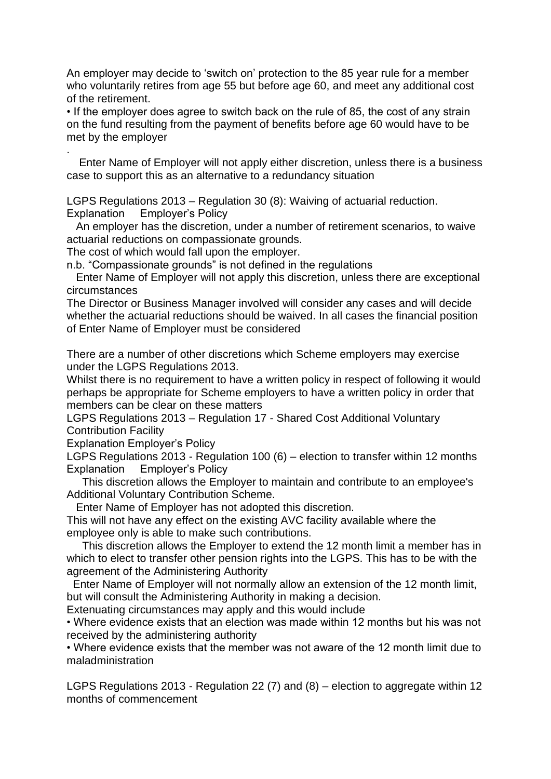An employer may decide to 'switch on' protection to the 85 year rule for a member who voluntarily retires from age 55 but before age 60, and meet any additional cost of the retirement.

• If the employer does agree to switch back on the rule of 85, the cost of any strain on the fund resulting from the payment of benefits before age 60 would have to be met by the employer

. Enter Name of Employer will not apply either discretion, unless there is a business case to support this as an alternative to a redundancy situation

LGPS Regulations 2013 – Regulation 30 (8): Waiving of actuarial reduction. Explanation Employer's Policy

 An employer has the discretion, under a number of retirement scenarios, to waive actuarial reductions on compassionate grounds.

The cost of which would fall upon the employer.

n.b. "Compassionate grounds" is not defined in the regulations

 Enter Name of Employer will not apply this discretion, unless there are exceptional circumstances

The Director or Business Manager involved will consider any cases and will decide whether the actuarial reductions should be waived. In all cases the financial position of Enter Name of Employer must be considered

There are a number of other discretions which Scheme employers may exercise under the LGPS Regulations 2013.

Whilst there is no requirement to have a written policy in respect of following it would perhaps be appropriate for Scheme employers to have a written policy in order that members can be clear on these matters

LGPS Regulations 2013 – Regulation 17 - Shared Cost Additional Voluntary Contribution Facility

Explanation Employer's Policy

LGPS Regulations 2013 - Regulation 100 (6) – election to transfer within 12 months Explanation Employer's Policy

 This discretion allows the Employer to maintain and contribute to an employee's Additional Voluntary Contribution Scheme.

Enter Name of Employer has not adopted this discretion.

This will not have any effect on the existing AVC facility available where the employee only is able to make such contributions.

 This discretion allows the Employer to extend the 12 month limit a member has in which to elect to transfer other pension rights into the LGPS. This has to be with the agreement of the Administering Authority

 Enter Name of Employer will not normally allow an extension of the 12 month limit, but will consult the Administering Authority in making a decision.

Extenuating circumstances may apply and this would include

• Where evidence exists that an election was made within 12 months but his was not received by the administering authority

• Where evidence exists that the member was not aware of the 12 month limit due to maladministration

LGPS Regulations 2013 - Regulation 22 (7) and (8) – election to aggregate within 12 months of commencement